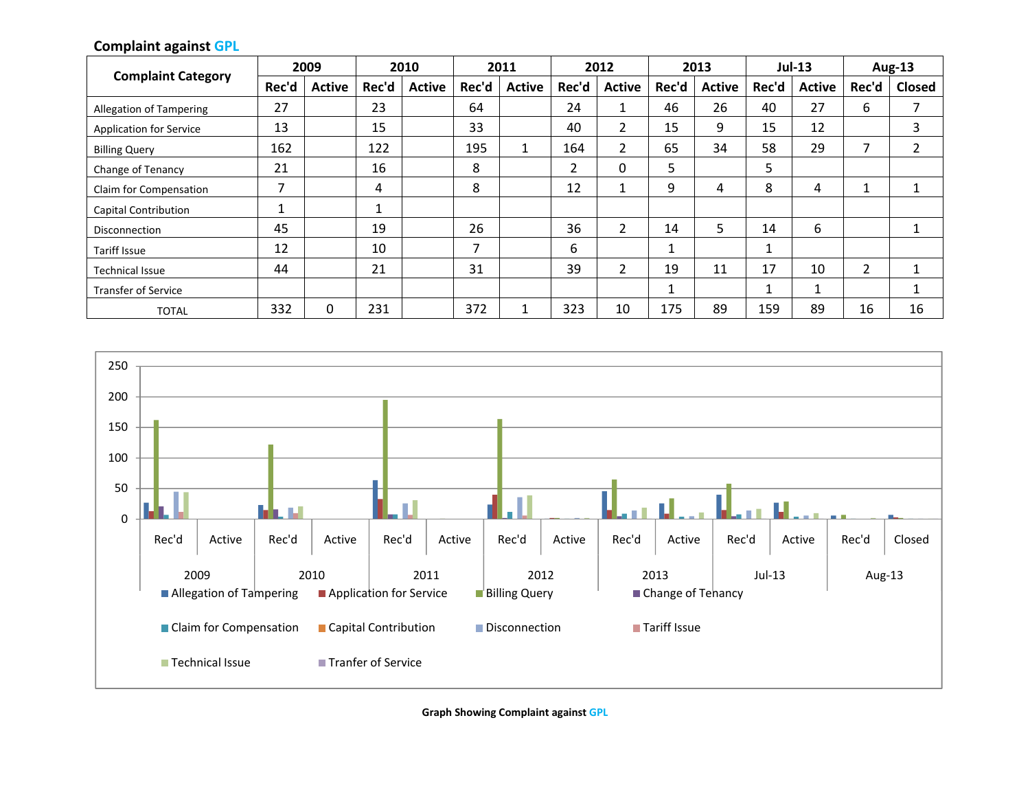#### **Complaint against GPL**

|                                |       | 2009          | 2010  |               | 2011  |               | 2012  |                | 2013  |               | $Jul-13$ |               | <b>Aug-13</b> |               |
|--------------------------------|-------|---------------|-------|---------------|-------|---------------|-------|----------------|-------|---------------|----------|---------------|---------------|---------------|
| <b>Complaint Category</b>      | Rec'd | <b>Active</b> | Rec'd | <b>Active</b> | Rec'd | <b>Active</b> | Rec'd | <b>Active</b>  | Rec'd | <b>Active</b> | Rec'd    | <b>Active</b> | Rec'd         | <b>Closed</b> |
| <b>Allegation of Tampering</b> | 27    |               | 23    |               | 64    |               | 24    |                | 46    | 26            | 40       | 27            | 6             |               |
| <b>Application for Service</b> | 13    |               | 15    |               | 33    |               | 40    |                | 15    | 9             | 15       | 12            |               | 3             |
| <b>Billing Query</b>           | 162   |               | 122   |               | 195   | 1             | 164   | $\overline{2}$ | 65    | 34            | 58       | 29            | 7             | 2             |
| Change of Tenancy              | 21    |               | 16    |               | 8     |               | 2     | $\Omega$       | 5     |               | 5        |               |               |               |
| Claim for Compensation         | ⇁     |               | 4     |               | 8     |               | 12    |                | 9     | 4             | 8        | 4             | ٠             |               |
| <b>Capital Contribution</b>    |       |               |       |               |       |               |       |                |       |               |          |               |               |               |
| <b>Disconnection</b>           | 45    |               | 19    |               | 26    |               | 36    | ำ              | 14    | 5             | 14       | 6             |               |               |
| <b>Tariff Issue</b>            | 12    |               | 10    |               | ⇁     |               | 6     |                |       |               | 1        |               |               |               |
| <b>Technical Issue</b>         | 44    |               | 21    |               | 31    |               | 39    |                | 19    | 11            | 17       | 10            | 2             |               |
| <b>Transfer of Service</b>     |       |               |       |               |       |               |       |                |       |               | 1        | 1             |               |               |
| <b>TOTAL</b>                   | 332   | 0             | 231   |               | 372   |               | 323   | 10             | 175   | 89            | 159      | 89            | 16            | 16            |



**Graph Showing Complaint against GPL**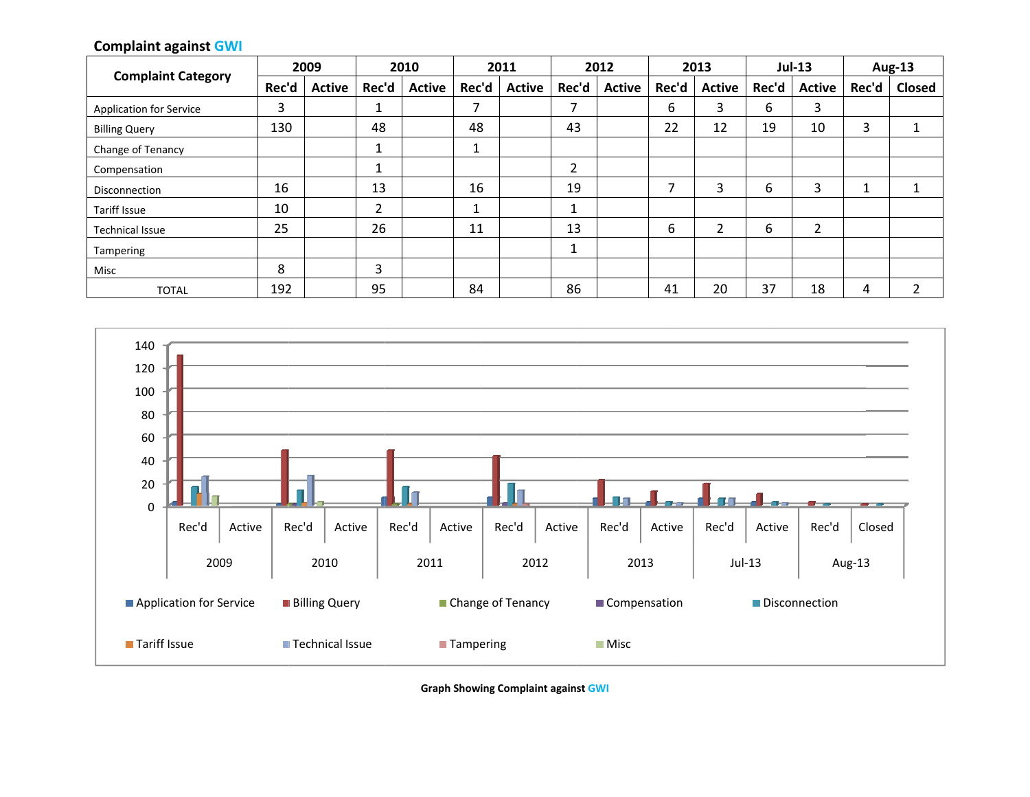## **Complaint against GWI**

| <b>Complaint Category</b>      |       | 2009          | 2010  |               | 2011  |               | 2012  |               | 2013  |               | <b>Jul-13</b> |               | <b>Aug-13</b> |               |
|--------------------------------|-------|---------------|-------|---------------|-------|---------------|-------|---------------|-------|---------------|---------------|---------------|---------------|---------------|
|                                | Rec'd | <b>Active</b> | Rec'd | <b>Active</b> | Rec'd | <b>Active</b> | Rec'd | <b>Active</b> | Rec'd | <b>Active</b> | Rec'd         | <b>Active</b> | Rec'd         | <b>Closed</b> |
| <b>Application for Service</b> | 3     |               |       |               |       |               | 7     |               | 6     | 3             | 6             | 3             |               |               |
| <b>Billing Query</b>           | 130   |               | 48    |               | 48    |               | 43    |               | 22    | 12            | 19            | 10            | 3             |               |
| Change of Tenancy              |       |               |       |               |       |               |       |               |       |               |               |               |               |               |
| Compensation                   |       |               |       |               |       |               | 2     |               |       |               |               |               |               |               |
| <b>Disconnection</b>           | 16    |               | 13    |               | 16    |               | 19    |               |       | 3             | 6             | 3             |               |               |
| Tariff Issue                   | 10    |               | C     |               |       |               | Ŧ     |               |       |               |               |               |               |               |
| <b>Technical Issue</b>         | 25    |               | 26    |               | 11    |               | 13    |               | 6     | ົ             | 6             | 2             |               |               |
| Tampering                      |       |               |       |               |       |               |       |               |       |               |               |               |               |               |
| Misc                           | 8     |               | 3     |               |       |               |       |               |       |               |               |               |               |               |
| <b>TOTAL</b>                   | 192   |               | 95    |               | 84    |               | 86    |               | 41    | 20            | 37            | 18            | 4             | ำ             |



**Graph Showing Complaint against GWI**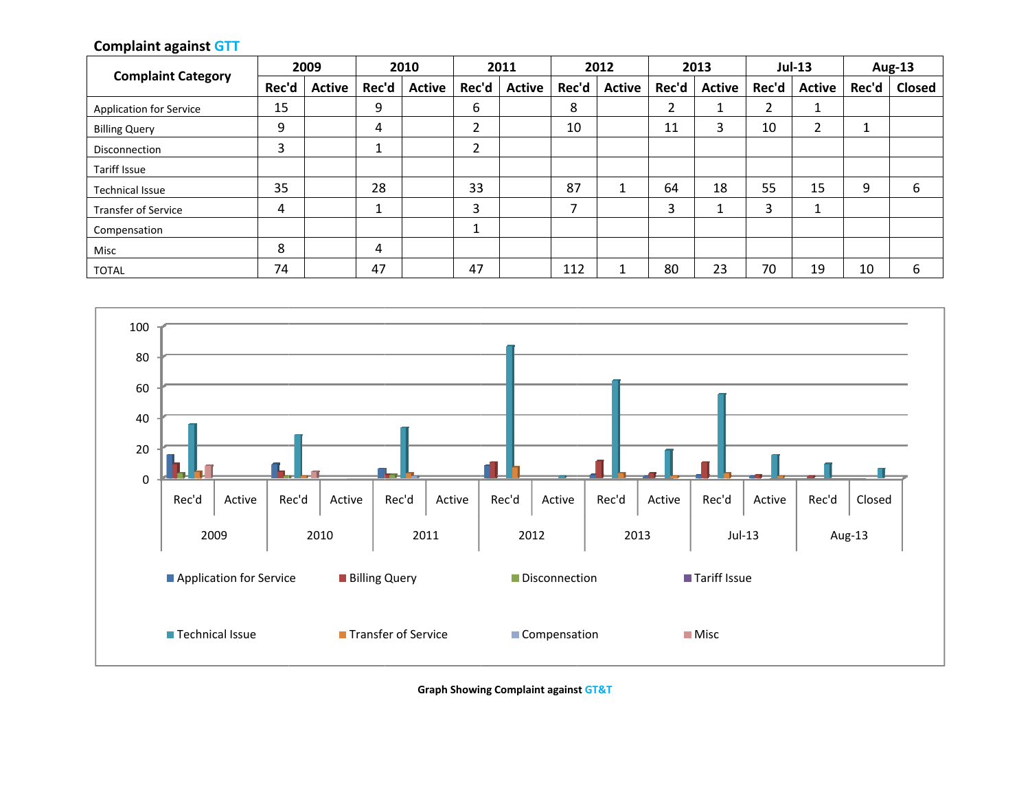# **Complaint against GTT**

| <b>Complaint Category</b>      |       | 2009          | 2010  |               | 2011   |               | 2012  |               | 2013  |               | <b>Jul-13</b> |               | <b>Aug-13</b> |               |
|--------------------------------|-------|---------------|-------|---------------|--------|---------------|-------|---------------|-------|---------------|---------------|---------------|---------------|---------------|
|                                | Rec'd | <b>Active</b> | Rec'd | <b>Active</b> | Rec'd  | <b>Active</b> | Rec'd | <b>Active</b> | Rec'd | <b>Active</b> | Rec'd         | <b>Active</b> | Rec'd         | <b>Closed</b> |
| <b>Application for Service</b> | 15    |               | 9     |               | 6      |               | 8     |               |       |               | ∍<br>∠        |               |               |               |
| <b>Billing Query</b>           | 9     |               | 4     |               | ¬<br>∠ |               | 10    |               | 11    | 3             | 10            | ∠             |               |               |
| Disconnection                  | 3     |               | ┸     |               | h<br>∠ |               |       |               |       |               |               |               |               |               |
| <b>Tariff Issue</b>            |       |               |       |               |        |               |       |               |       |               |               |               |               |               |
| <b>Technical Issue</b>         | 35    |               | 28    |               | 33     |               | 87    |               | 64    | 18            | 55            | 15            | 9             | 6             |
| <b>Transfer of Service</b>     | 4     |               |       |               | 3      |               | ⇁     |               | ∍     |               | 3             |               |               |               |
| Compensation                   |       |               |       |               |        |               |       |               |       |               |               |               |               |               |
| Misc                           | 8     |               | 4     |               |        |               |       |               |       |               |               |               |               |               |
| <b>TOTAL</b>                   | 74    |               | 47    |               | 47     |               | 112   |               | 80    | 23            | 70            | 19            | 10            | 6             |



**Graph Showing Complaint against GT&T**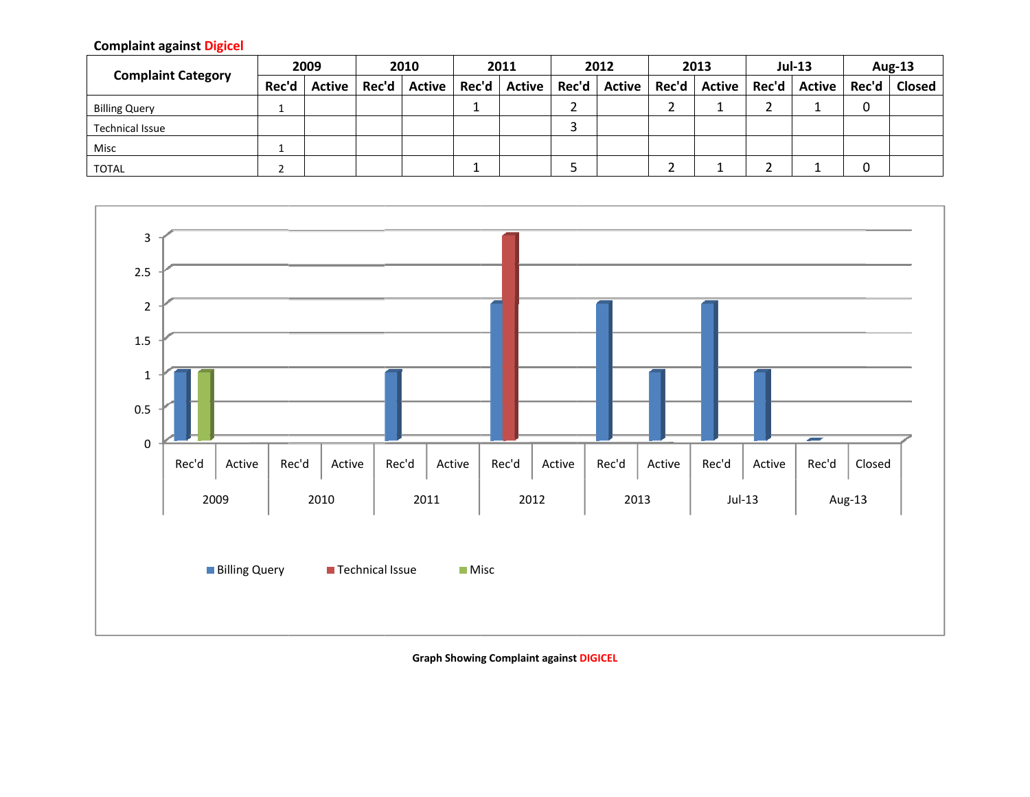### **Complaint against Digicel**

| <b>Complaint Category</b> | 2009  |        | 2010  |               | 2011  |               | 2012  |        | 2013 |                | <b>Jul-13</b> |               | Aug-13 |               |
|---------------------------|-------|--------|-------|---------------|-------|---------------|-------|--------|------|----------------|---------------|---------------|--------|---------------|
|                           | Rec'd | Active | Rec'd | <b>Active</b> | Rec'd | <b>Active</b> | Rec'd | Active |      | Rec'd   Active | Rec'd         | <b>Active</b> | Rec'd  | <b>Closed</b> |
| <b>Billing Query</b>      |       |        |       |               |       |               |       |        |      |                |               |               |        |               |
| <b>Technical Issue</b>    |       |        |       |               |       |               |       |        |      |                |               |               |        |               |
| Misc                      |       |        |       |               |       |               |       |        |      |                |               |               |        |               |
| <b>TOTAL</b>              |       |        |       |               |       |               |       |        |      |                |               |               |        |               |



**Graph Showing Complaint against DIGICEL**